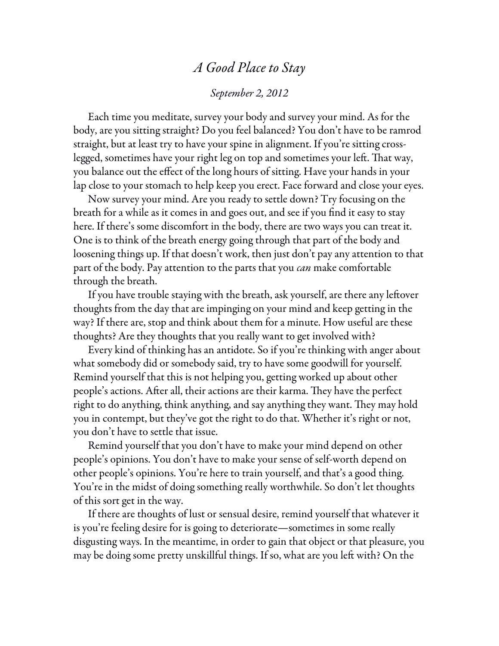## *A Good Place to Stay September 2, 2012*

Each time you meditate, survey your body and survey your mind. As for the body, are you sitting straight? Do you feel balanced? You don't have to be ramrod straight, but at least try to have your spine in alignment. If you're sitting crosslegged, sometimes have your right leg on top and sometimes your left. That way, you balance out the effect of the long hours of sitting. Have your hands in your lap close to your stomach to help keep you erect. Face forward and close your eyes.

Now survey your mind. Are you ready to settle down? Try focusing on the breath for a while as it comes in and goes out, and see if you find it easy to stay here. If there's some discomfort in the body, there are two ways you can treat it. One is to think of the breath energy going through that part of the body and loosening things up. If that doesn't work, then just don't pay any attention to that part of the body. Pay attention to the parts that you *can* make comfortable through the breath.

If you have trouble staying with the breath, ask yourself, are there any leftover thoughts from the day that are impinging on your mind and keep getting in the way? If there are, stop and think about them for a minute. How useful are these thoughts? Are they thoughts that you really want to get involved with?

Every kind of thinking has an antidote. So if you're thinking with anger about what somebody did or somebody said, try to have some goodwill for yourself. Remind yourself that this is not helping you, getting worked up about other people's actions. After all, their actions are their karma. They have the perfect right to do anything, think anything, and say anything they want. They may hold you in contempt, but they've got the right to do that. Whether it's right or not, you don't have to settle that issue.

Remind yourself that you don't have to make your mind depend on other people's opinions. You don't have to make your sense of self-worth depend on other people's opinions. You're here to train yourself, and that's a good thing. You're in the midst of doing something really worthwhile. So don't let thoughts of this sort get in the way.

If there are thoughts of lust or sensual desire, remind yourself that whatever it is you're feeling desire for is going to deteriorate—sometimes in some really disgusting ways. In the meantime, in order to gain that object or that pleasure, you may be doing some pretty unskillful things. If so, what are you left with? On the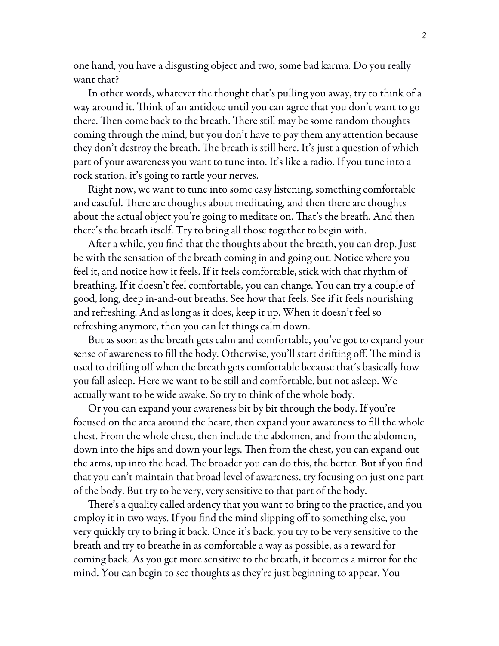one hand, you have a disgusting object and two, some bad karma. Do you really want that?

In other words, whatever the thought that's pulling you away, try to think of a way around it. Think of an antidote until you can agree that you don't want to go there. Then come back to the breath. There still may be some random thoughts coming through the mind, but you don't have to pay them any attention because they don't destroy the breath. The breath is still here. It's just a question of which part of your awareness you want to tune into. It's like a radio. If you tune into a rock station, it's going to rattle your nerves.

Right now, we want to tune into some easy listening, something comfortable and easeful. There are thoughts about meditating, and then there are thoughts about the actual object you're going to meditate on. That's the breath. And then there's the breath itself. Try to bring all those together to begin with.

After a while, you find that the thoughts about the breath, you can drop. Just be with the sensation of the breath coming in and going out. Notice where you feel it, and notice how it feels. If it feels comfortable, stick with that rhythm of breathing. If it doesn't feel comfortable, you can change. You can try a couple of good, long, deep in-and-out breaths. See how that feels. See if it feels nourishing and refreshing. And as long as it does, keep it up. When it doesn't feel so refreshing anymore, then you can let things calm down.

But as soon as the breath gets calm and comfortable, you've got to expand your sense of awareness to fill the body. Otherwise, you'll start drifting off. The mind is used to drifting off when the breath gets comfortable because that's basically how you fall asleep. Here we want to be still and comfortable, but not asleep. We actually want to be wide awake. So try to think of the whole body.

Or you can expand your awareness bit by bit through the body. If you're focused on the area around the heart, then expand your awareness to fill the whole chest. From the whole chest, then include the abdomen, and from the abdomen, down into the hips and down your legs. Then from the chest, you can expand out the arms, up into the head. The broader you can do this, the better. But if you find that you can't maintain that broad level of awareness, try focusing on just one part of the body. But try to be very, very sensitive to that part of the body.

There's a quality called ardency that you want to bring to the practice, and you employ it in two ways. If you find the mind slipping off to something else, you very quickly try to bring it back. Once it's back, you try to be very sensitive to the breath and try to breathe in as comfortable a way as possible, as a reward for coming back. As you get more sensitive to the breath, it becomes a mirror for the mind. You can begin to see thoughts as they're just beginning to appear. You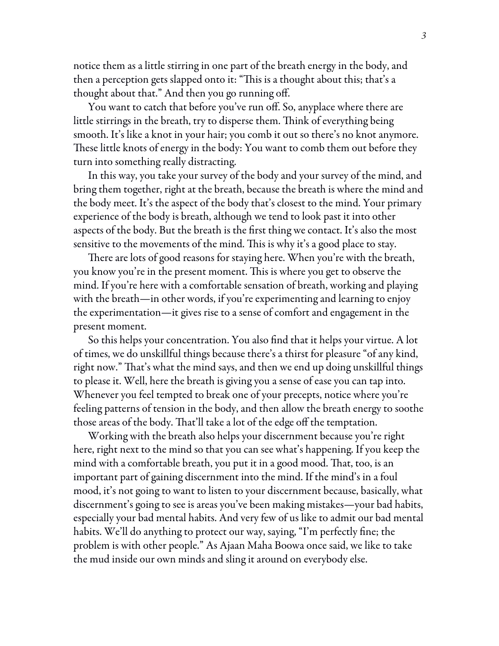notice them as a little stirring in one part of the breath energy in the body, and then a perception gets slapped onto it: "This is a thought about this; that's a thought about that." And then you go running off.

You want to catch that before you've run off. So, anyplace where there are little stirrings in the breath, try to disperse them. Think of everything being smooth. It's like a knot in your hair; you comb it out so there's no knot anymore. These little knots of energy in the body: You want to comb them out before they turn into something really distracting.

In this way, you take your survey of the body and your survey of the mind, and bring them together, right at the breath, because the breath is where the mind and the body meet. It's the aspect of the body that's closest to the mind. Your primary experience of the body is breath, although we tend to look past it into other aspects of the body. But the breath is the first thing we contact. It's also the most sensitive to the movements of the mind. This is why it's a good place to stay.

There are lots of good reasons for staying here. When you're with the breath, you know you're in the present moment. This is where you get to observe the mind. If you're here with a comfortable sensation of breath, working and playing with the breath—in other words, if you're experimenting and learning to enjoy the experimentation—it gives rise to a sense of comfort and engagement in the present moment.

So this helps your concentration. You also find that it helps your virtue. A lot of times, we do unskillful things because there's a thirst for pleasure "of any kind, right now." That's what the mind says, and then we end up doing unskillful things to please it. Well, here the breath is giving you a sense of ease you can tap into. Whenever you feel tempted to break one of your precepts, notice where you're feeling patterns of tension in the body, and then allow the breath energy to soothe those areas of the body. That'll take a lot of the edge off the temptation.

Working with the breath also helps your discernment because you're right here, right next to the mind so that you can see what's happening. If you keep the mind with a comfortable breath, you put it in a good mood. That, too, is an important part of gaining discernment into the mind. If the mind's in a foul mood, it's not going to want to listen to your discernment because, basically, what discernment's going to see is areas you've been making mistakes—your bad habits, especially your bad mental habits. And very few of us like to admit our bad mental habits. We'll do anything to protect our way, saying, "I'm perfectly fine; the problem is with other people." As Ajaan Maha Boowa once said, we like to take the mud inside our own minds and sling it around on everybody else.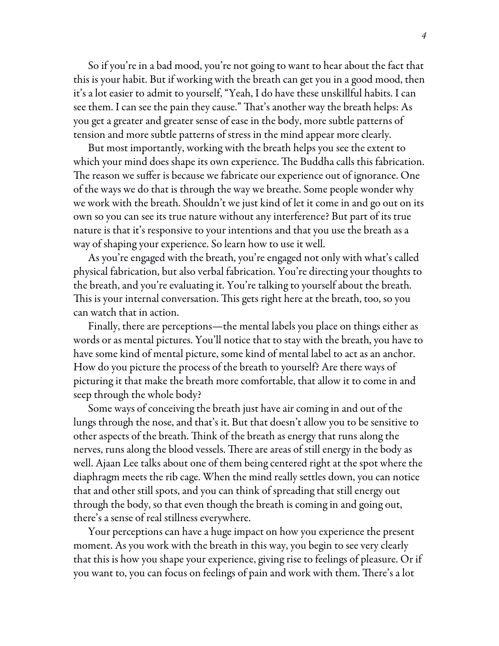So if you're in a bad mood, you're not going to want to hear about the fact that this is your habit. But if working with the breath can get you in a good mood, then it's a lot easier to admit to yourself, "Yeah, I do have these unskillful habits. I can see them. I can see the pain they cause." That's another way the breath helps: As you get a greater and greater sense of ease in the body, more subtle patterns of tension and more subtle patterns of stress in the mind appear more clearly.

But most importantly, working with the breath helps you see the extent to which your mind does shape its own experience. The Buddha calls this fabrication. The reason we suffer is because we fabricate our experience out of ignorance. One of the ways we do that is through the way we breathe. Some people wonder why we work with the breath. Shouldn't we just kind of let it come in and go out on its own so you can see its true nature without any interference? But part of its true nature is that it's responsive to your intentions and that you use the breath as a way of shaping your experience. So learn how to use it well.

As you're engaged with the breath, you're engaged not only with what's called physical fabrication, but also verbal fabrication. You're directing your thoughts to the breath, and you're evaluating it. You're talking to yourself about the breath. This is your internal conversation. This gets right here at the breath, too, so you can watch that in action.

Finally, there are perceptions—the mental labels you place on things either as words or as mental pictures. You'll notice that to stay with the breath, you have to have some kind of mental picture, some kind of mental label to act as an anchor. How do you picture the process of the breath to yourself? Are there ways of picturing it that make the breath more comfortable, that allow it to come in and seep through the whole body?

Some ways of conceiving the breath just have air coming in and out of the lungs through the nose, and that's it. But that doesn't allow you to be sensitive to other aspects of the breath. Think of the breath as energy that runs along the nerves, runs along the blood vessels. There are areas of still energy in the body as well. Ajaan Lee talks about one of them being centered right at the spot where the diaphragm meets the rib cage. When the mind really settles down, you can notice that and other still spots, and you can think of spreading that still energy out through the body, so that even though the breath is coming in and going out, there's a sense of real stillness everywhere.

Your perceptions can have a huge impact on how you experience the present moment. As you work with the breath in this way, you begin to see very clearly that this is how you shape your experience, giving rise to feelings of pleasure. Or if you want to, you can focus on feelings of pain and work with them. There's a lot